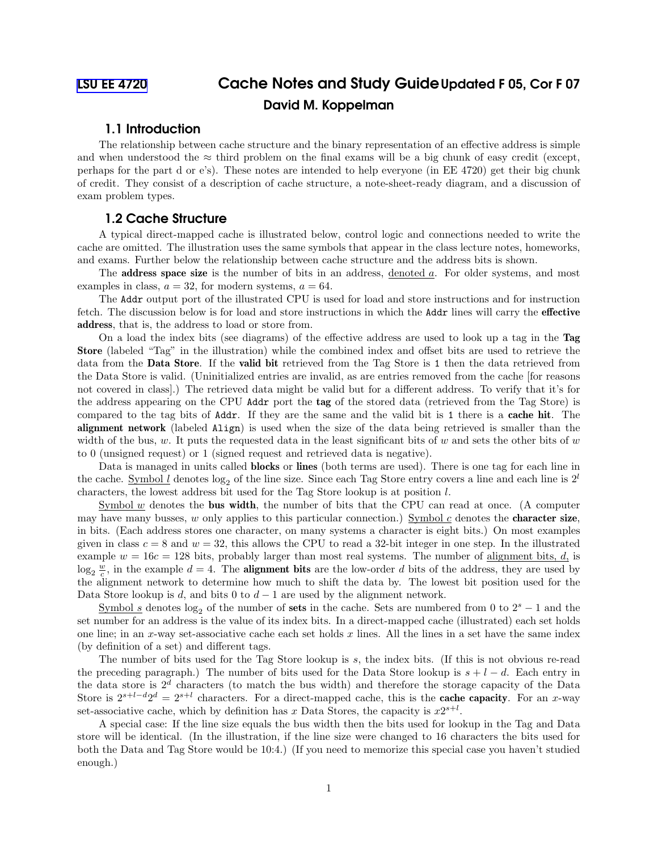# [LSU EE 4720](https://www.ece.lsu.edu/ee4720/) Cache Notes and Study GuideUpdated F 05, Cor F 07 David M. Koppelman

# 1.1 Introduction

The relationship between cache structure and the binary representation of an effective address is simple and when understood the  $\approx$  third problem on the final exams will be a big chunk of easy credit (except, perhaps for the part d or e's). These notes are intended to help everyone (in EE 4720) get their big chunk of credit. They consist of a description of cache structure, a note-sheet-ready diagram, and a discussion of exam problem types.

# 1.2 Cache Structure

A typical direct-mapped cache is illustrated below, control logic and connections needed to write the cache are omitted. The illustration uses the same symbols that appear in the class lecture notes, homeworks, and exams. Further below the relationship between cache structure and the address bits is shown.

The **address space size** is the number of bits in an address, denoted a. For older systems, and most examples in class,  $a = 32$ , for modern systems,  $a = 64$ .

The Addr output port of the illustrated CPU is used for load and store instructions and for instruction fetch. The discussion below is for load and store instructions in which the Addr lines will carry the effective address, that is, the address to load or store from.

On a load the index bits (see diagrams) of the effective address are used to look up a tag in the Tag Store (labeled "Tag" in the illustration) while the combined index and offset bits are used to retrieve the data from the Data Store. If the valid bit retrieved from the Tag Store is 1 then the data retrieved from the Data Store is valid. (Uninitialized entries are invalid, as are entries removed from the cache [for reasons not covered in class].) The retrieved data might be valid but for a different address. To verify that it's for the address appearing on the CPU Addr port the tag of the stored data (retrieved from the Tag Store) is compared to the tag bits of Addr. If they are the same and the valid bit is 1 there is a cache hit. The alignment network (labeled Align) is used when the size of the data being retrieved is smaller than the width of the bus, w. It puts the requested data in the least significant bits of w and sets the other bits of  $w$ to 0 (unsigned request) or 1 (signed request and retrieved data is negative).

Data is managed in units called blocks or lines (both terms are used). There is one tag for each line in the cache. Symbol l denotes  $\log_2$  of the line size. Since each Tag Store entry covers a line and each line is 2<sup>l</sup> characters, the lowest address bit used for the Tag Store lookup is at position l.

Symbol  $w$  denotes the **bus width**, the number of bits that the CPU can read at once. (A computer may have many busses, w only applies to this particular connection.) Symbol c denotes the **character size**. in bits. (Each address stores one character, on many systems a character is eight bits.) On most examples given in class  $c = 8$  and  $w = 32$ , this allows the CPU to read a 32-bit integer in one step. In the illustrated example  $w = 16c = 128$  bits, probably larger than most real systems. The number of alignment bits, d, is  $\log_2 \frac{w}{c}$ , in the example  $d = 4$ . The **alignment bits** are the low-order d bits of the address, they are used by the alignment network to determine how much to shift the data by. The lowest bit position used for the Data Store lookup is d, and bits 0 to  $d-1$  are used by the alignment network.

Symbol s denotes log<sub>2</sub> of the number of sets in the cache. Sets are numbered from 0 to  $2<sup>s</sup> - 1$  and the set number for an address is the value of its index bits. In a direct-mapped cache (illustrated) each set holds one line; in an x-way set-associative cache each set holds x lines. All the lines in a set have the same index (by definition of a set) and different tags.

The number of bits used for the Tag Store lookup is s, the index bits. (If this is not obvious re-read the preceding paragraph.) The number of bits used for the Data Store lookup is  $s + l - d$ . Each entry in the data store is  $2^d$  characters (to match the bus width) and therefore the storage capacity of the Data Store is  $2^{s+l-d}2^d = 2^{s+l}$  characters. For a direct-mapped cache, this is the **cache capacity**. For an x-way set-associative cache, which by definition has x Data Stores, the capacity is  $x2^{s+l}$ .

A special case: If the line size equals the bus width then the bits used for lookup in the Tag and Data store will be identical. (In the illustration, if the line size were changed to 16 characters the bits used for both the Data and Tag Store would be 10:4.) (If you need to memorize this special case you haven't studied enough.)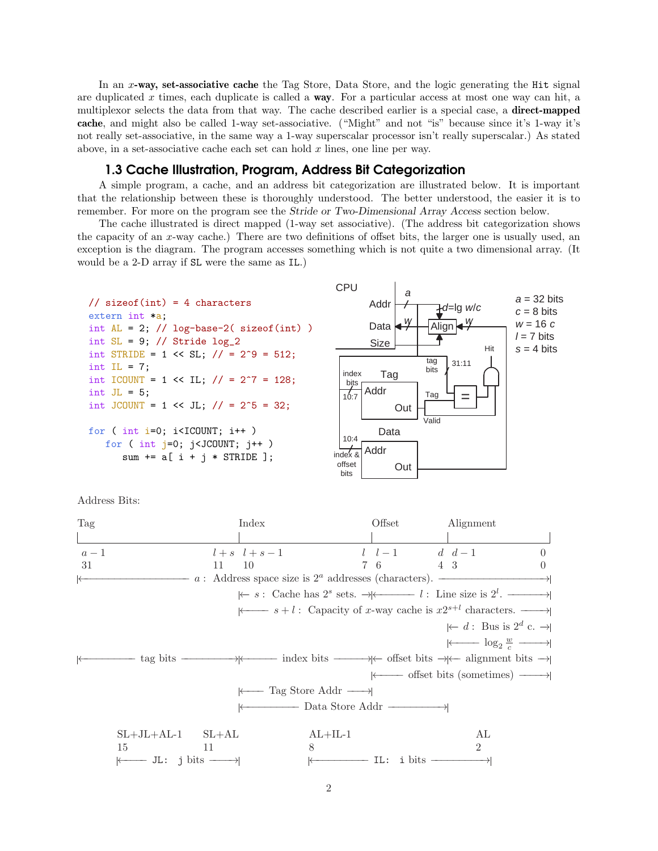In an x-way, set-associative cache the Tag Store, Data Store, and the logic generating the Hit signal are duplicated x times, each duplicate is called a **way**. For a particular access at most one way can hit, a multiplexor selects the data from that way. The cache described earlier is a special case, a direct-mapped cache, and might also be called 1-way set-associative. ("Might" and not "is" because since it's 1-way it's not really set-associative, in the same way a 1-way superscalar processor isn't really superscalar.) As stated above, in a set-associative cache each set can hold  $x$  lines, one line per way.

## 1.3 Cache Illustration, Program, Address Bit Categorization

A simple program, a cache, and an address bit categorization are illustrated below. It is important that the relationship between these is thoroughly understood. The better understood, the easier it is to remember. For more on the program see the Stride or Two-Dimensional Array Access section below.

The cache illustrated is direct mapped (1-way set associative). (The address bit categorization shows the capacity of an x-way cache.) There are two definitions of offset bits, the larger one is usually used, an exception is the diagram. The program accesses something which is not quite a two dimensional array. (It would be a 2-D array if SL were the same as IL.)



Address Bits:

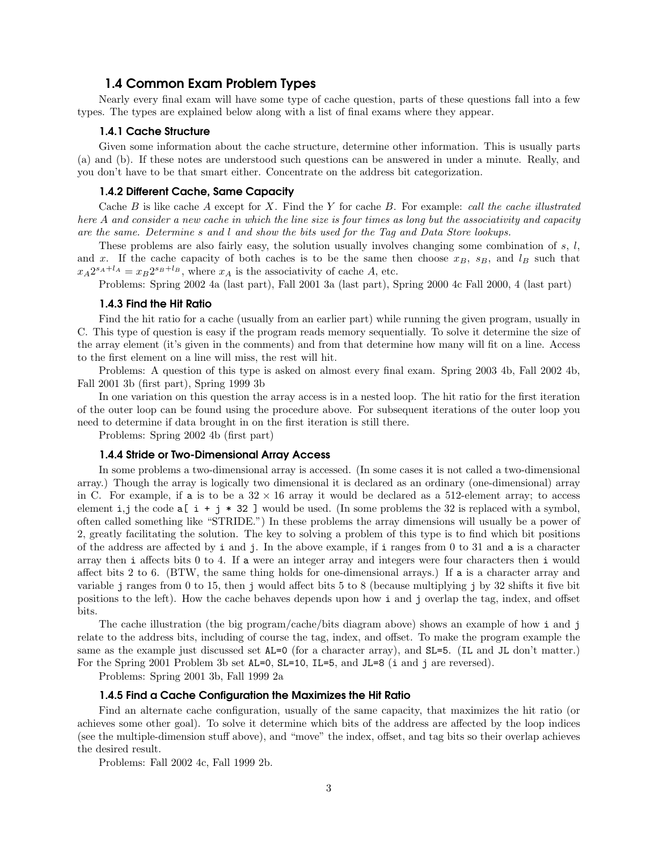# 1.4 Common Exam Problem Types

Nearly every final exam will have some type of cache question, parts of these questions fall into a few types. The types are explained below along with a list of final exams where they appear.

#### 1.4.1 Cache Structure

Given some information about the cache structure, determine other information. This is usually parts (a) and (b). If these notes are understood such questions can be answered in under a minute. Really, and you don't have to be that smart either. Concentrate on the address bit categorization.

#### 1.4.2 Different Cache, Same Capacity

Cache B is like cache A except for X. Find the Y for cache B. For example: call the cache illustrated here A and consider a new cache in which the line size is four times as long but the associativity and capacity are the same. Determine s and l and show the bits used for the Tag and Data Store lookups.

These problems are also fairly easy, the solution usually involves changing some combination of  $s, l$ , and x. If the cache capacity of both caches is to be the same then choose  $x_B$ ,  $s_B$ , and  $l_B$  such that  $x_A 2^{s_A+1_A} = x_B 2^{s_B+1_B}$ , where  $x_A$  is the associativity of cache A, etc.

Problems: Spring 2002 4a (last part), Fall 2001 3a (last part), Spring 2000 4c Fall 2000, 4 (last part)

#### 1.4.3 Find the Hit Ratio

Find the hit ratio for a cache (usually from an earlier part) while running the given program, usually in C. This type of question is easy if the program reads memory sequentially. To solve it determine the size of the array element (it's given in the comments) and from that determine how many will fit on a line. Access to the first element on a line will miss, the rest will hit.

Problems: A question of this type is asked on almost every final exam. Spring 2003 4b, Fall 2002 4b, Fall 2001 3b (first part), Spring 1999 3b

In one variation on this question the array access is in a nested loop. The hit ratio for the first iteration of the outer loop can be found using the procedure above. For subsequent iterations of the outer loop you need to determine if data brought in on the first iteration is still there.

Problems: Spring 2002 4b (first part)

#### 1.4.4 Stride or Two-Dimensional Array Access

In some problems a two-dimensional array is accessed. (In some cases it is not called a two-dimensional array.) Though the array is logically two dimensional it is declared as an ordinary (one-dimensional) array in C. For example, if a is to be a  $32 \times 16$  array it would be declared as a 512-element array; to access element i,j the code  $a[i + j * 32]$  would be used. (In some problems the 32 is replaced with a symbol, often called something like "STRIDE.") In these problems the array dimensions will usually be a power of 2, greatly facilitating the solution. The key to solving a problem of this type is to find which bit positions of the address are affected by i and j. In the above example, if i ranges from 0 to 31 and a is a character array then i affects bits 0 to 4. If a were an integer array and integers were four characters then i would affect bits 2 to 6. (BTW, the same thing holds for one-dimensional arrays.) If a is a character array and variable j ranges from 0 to 15, then j would affect bits 5 to 8 (because multiplying j by 32 shifts it five bit positions to the left). How the cache behaves depends upon how i and j overlap the tag, index, and offset bits.

The cache illustration (the big program/cache/bits diagram above) shows an example of how i and j relate to the address bits, including of course the tag, index, and offset. To make the program example the same as the example just discussed set  $AL=0$  (for a character array), and SL=5. (IL and JL don't matter.) For the Spring 2001 Problem 3b set  $AL=0$ ,  $SL=10$ ,  $IL=5$ , and  $JL=8$  (i and j are reversed).

Problems: Spring 2001 3b, Fall 1999 2a

#### 1.4.5 Find a Cache Configuration the Maximizes the Hit Ratio

Find an alternate cache configuration, usually of the same capacity, that maximizes the hit ratio (or achieves some other goal). To solve it determine which bits of the address are affected by the loop indices (see the multiple-dimension stuff above), and "move" the index, offset, and tag bits so their overlap achieves the desired result.

Problems: Fall 2002 4c, Fall 1999 2b.